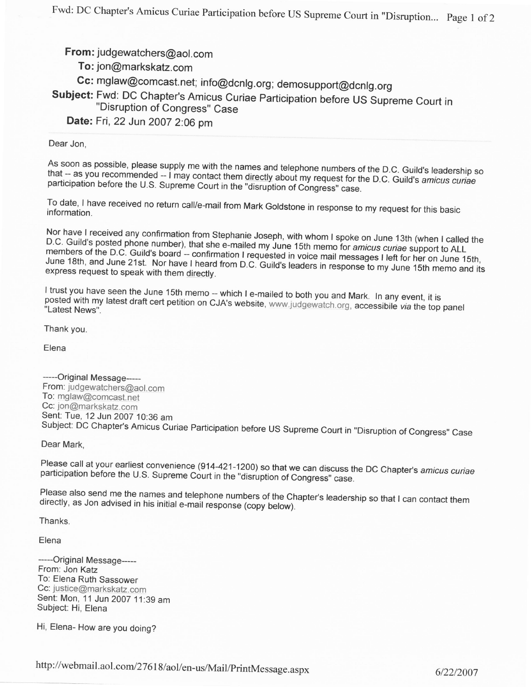From: judgewatchers@aol.com

To: jon@markskatz.com

Cc: mglaw@comcast.net; info@dcnlg.org; demosupport@dcnlg.org

Subject: Fwd: DC Chapter's Amicus Curiae Participation before US supreme Court in "Disruption of Congress" Case

Date: Fri,22 Jun 2007 2:06 pm

Dear Jon,

that -- as you recommended -- I may contact them directly about my request for the D.C. Guild's amicus curiae<br>participation before the U.S. Supreme Court in the "disruption of Congress" case. As soon as possible, please supply me with the names and telephone numbers of the D.C. Guild's leadership so participation before the U.S. Supreme Court in the "disruption of Congress" case.

To date, I have received no return call/e-mail from Mark Goldstone in response to To date, I have received no return call/e-mail from Mark Goldstone in response to my request for this basic<br>information.

D.C. Guild's posted phone number), that she e-mailed my June 15th memo for amicus curiae support to ALL<br>members of the D.C. Guild's board – confirmation I regular memo for amicus curiae support to ALL Nor have I received any confirmation from Stephanie Joseph, with whom I spoke on June 13th (when I called the<br>D.C. Guild's posted phone number), that she e mailed my June 45th and 15th con June 13th (when I called the members of the D.C. Guild's board -- confirmation I requested in voice mail messages I left for her on June 15th,<br>June 18th, and June 21st. Nor have I heard from D.C. Cuild's Is voice mail messages I left for her on June 1 June 18th, and June 21st. Nor have I heard from D.C. Guild's leaders in ressages I left for her on June 15th,<br>express request to speak with them directly. express request to speak with them directly.

posted with my I trust you have I trust you have seen the June 15th memo -- which I e-mailed to both you and Mark. In any event, it is<br>posted with my latest draft cert petition on CJA's website, <u>www.judgewatch.org,</u> accessibile *via* the top panel<br>"Lat

Thank you.

Elena

-----Original Message-----From: judgewatchers@aol. com To: mglaw@comcast.net Cc: jon@markskatz.com Sent: Tue, 12 Jun 2007 10:36 am Subject: DC Chapter's Amicus Curiae Participation before US Supreme Court in "Disruption of Congress" Case

Dear Mark,

participation before the U.S. Supreme Court in the "disruption of Congress" case. Please call at your earliest convenience (914-421-1200) so that we can discuss the DC Chapter's amicus curiae

Please also send me the names and telephone numbers of the Chapter's leadership so that I can contact them<br>directly, as Jon advised in his initial e-mail response (copy below).

Thanks.

Elena

-----Original Message-----From: Jon Katz To; Elena Ruth Sassower Cc: justicg@markskatz. com Sent: Mon, 11 Jun 20OT 11:39 am Subject: Hi, Elena

Hi, Elena- How are you doing?